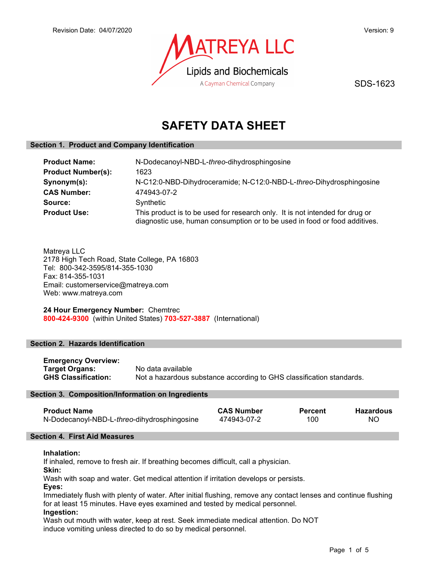

SDS-1623

# SAFETY DATA SHEET

# Section 1. Product and Company Identification

| <b>Product Name:</b>      | N-Dodecanoyl-NBD-L-threo-dihydrosphingosine                                                                                                                |  |
|---------------------------|------------------------------------------------------------------------------------------------------------------------------------------------------------|--|
| <b>Product Number(s):</b> | 1623                                                                                                                                                       |  |
| Synonym(s):               | N-C12:0-NBD-Dihydroceramide; N-C12:0-NBD-L-threo-Dihydrosphingosine                                                                                        |  |
| <b>CAS Number:</b>        | 474943-07-2                                                                                                                                                |  |
| Source:                   | Synthetic                                                                                                                                                  |  |
| <b>Product Use:</b>       | This product is to be used for research only. It is not intended for drug or<br>diagnostic use, human consumption or to be used in food or food additives. |  |

Matreya LLC 2178 High Tech Road, State College, PA 16803 Tel: 800-342-3595/814-355-1030 Fax: 814-355-1031 Email: customerservice@matreya.com Web: www.matreya.com

24 Hour Emergency Number: Chemtrec 800-424-9300 (within United States) 703-527-3887 (International)

### Section 2. Hazards Identification

Emergency Overview: Target Organs: No data available GHS Classification: Not a hazardous substance according to GHS classification standards.

### Section 3. Composition/Information on Ingredients

| <b>Product Name</b>                         | <b>CAS Number</b> | <b>Percent</b> | <b>Hazardous</b> |
|---------------------------------------------|-------------------|----------------|------------------|
| N-Dodecanoyl-NBD-L-threo-dihydrosphingosine | 474943-07-2       | 100            | NO.              |

## Section 4. First Aid Measures

### Inhalation:

If inhaled, remove to fresh air. If breathing becomes difficult, call a physician.

Skin:

Wash with soap and water. Get medical attention if irritation develops or persists.

Eyes:

Immediately flush with plenty of water. After initial flushing, remove any contact lenses and continue flushing for at least 15 minutes. Have eyes examined and tested by medical personnel.

### Ingestion:

Wash out mouth with water, keep at rest. Seek immediate medical attention. Do NOT induce vomiting unless directed to do so by medical personnel.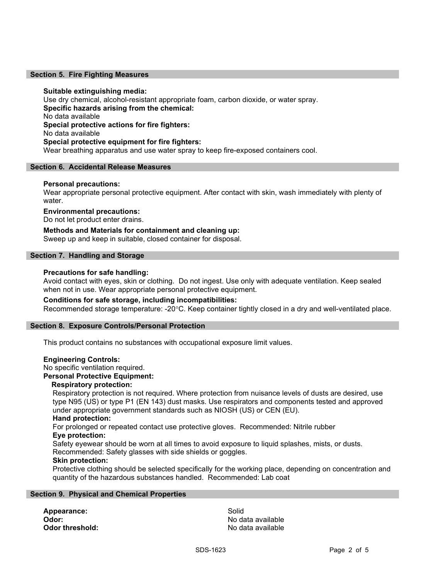#### Section 5. Fire Fighting Measures

#### Suitable extinguishing media:

Use dry chemical, alcohol-resistant appropriate foam, carbon dioxide, or water spray. Specific hazards arising from the chemical: No data available Special protective actions for fire fighters: No data available Special protective equipment for fire fighters: Wear breathing apparatus and use water spray to keep fire-exposed containers cool.

#### Section 6. Accidental Release Measures

#### Personal precautions:

Wear appropriate personal protective equipment. After contact with skin, wash immediately with plenty of water.

#### Environmental precautions:

Do not let product enter drains.

### Methods and Materials for containment and cleaning up:

Sweep up and keep in suitable, closed container for disposal.

#### Section 7. Handling and Storage

#### Precautions for safe handling:

Avoid contact with eyes, skin or clothing. Do not ingest. Use only with adequate ventilation. Keep sealed when not in use. Wear appropriate personal protective equipment.

### Conditions for safe storage, including incompatibilities:

Recommended storage temperature: -20°C. Keep container tightly closed in a dry and well-ventilated place.

#### Section 8. Exposure Controls/Personal Protection

This product contains no substances with occupational exposure limit values.

#### Engineering Controls:

No specific ventilation required.

# Personal Protective Equipment:

#### Respiratory protection:

Respiratory protection is not required. Where protection from nuisance levels of dusts are desired, use type N95 (US) or type P1 (EN 143) dust masks. Use respirators and components tested and approved under appropriate government standards such as NIOSH (US) or CEN (EU).

# Hand protection:

For prolonged or repeated contact use protective gloves. Recommended: Nitrile rubber Eye protection:

Safety eyewear should be worn at all times to avoid exposure to liquid splashes, mists, or dusts. Recommended: Safety glasses with side shields or goggles.

#### Skin protection:

Protective clothing should be selected specifically for the working place, depending on concentration and quantity of the hazardous substances handled. Recommended: Lab coat

#### Section 9. Physical and Chemical Properties

Appearance: Solid

**Odor:** No data available **Odor threshold:** No data available in the state of the state of the state of the state and the state of the state of the state of the state of the state of the state of the state of the state of the state of the state of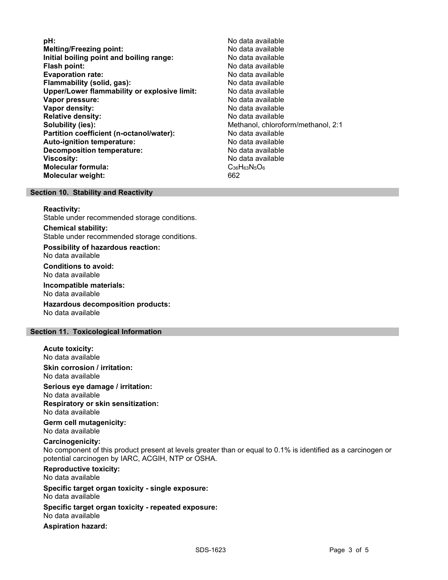**pH:**  $\blacksquare$ Melting/Freezing point:<br>
Initial boiling point and boiling range: No data available Initial boiling point and boiling range: Flash point: No data available Evaporation rate: No data available **Flammability (solid, gas):** No data available is not all the set of the set of the set of the set of the set of the set of the set of the set of the set of the set of the set of the set of the set of the set of the set of Upper/Lower flammability or explosive limit: No data available Vapor pressure: No data available Vapor density: No data available Relative density:<br> **Relative density:**<br> **Solubility (ies):**<br> **Solubility (ies):**<br> **Nethanol, chlorofolynomials** Methanol, chloroform/methanol, 2:1 Partition coefficient (n-octanol/water): No data available Auto-ignition temperature: No data available Decomposition temperature: **Viscosity:** No data available Molecular formula: C<sub>36</sub>H<sub>63</sub>N<sub>5</sub>O<sub>6</sub> Molecular weight: 662

#### Section 10. Stability and Reactivity

#### Reactivity:

Stable under recommended storage conditions.

#### Chemical stability:

Stable under recommended storage conditions.

Possibility of hazardous reaction: No data available

Conditions to avoid: No data available

Incompatible materials:

No data available

Hazardous decomposition products: No data available

#### Section 11. Toxicological Information

#### Acute toxicity: No data available

Skin corrosion / irritation: No data available

Serious eye damage / irritation: No data available Respiratory or skin sensitization: No data available

Germ cell mutagenicity: No data available

# Carcinogenicity:

No component of this product present at levels greater than or equal to 0.1% is identified as a carcinogen or potential carcinogen by IARC, ACGIH, NTP or OSHA.

Reproductive toxicity: No data available

Specific target organ toxicity - single exposure: No data available

Specific target organ toxicity - repeated exposure:

No data available

Aspiration hazard: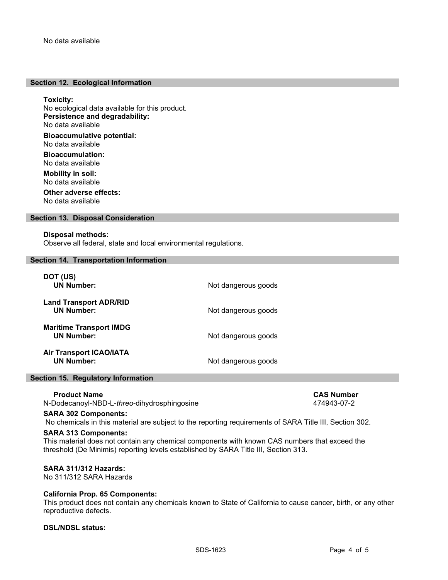#### Section 12. Ecological Information

Toxicity:

No ecological data available for this product. Persistence and degradability: No data available

Bioaccumulative potential: No data available

Bioaccumulation: No data available

Mobility in soil: No data available

Other adverse effects: No data available

### Section 13. Disposal Consideration

#### Disposal methods:

Observe all federal, state and local environmental regulations.

#### Section 14. Transportation Information

| DOT (US)<br><b>UN Number:</b>                       | Not dangerous goods |
|-----------------------------------------------------|---------------------|
| <b>Land Transport ADR/RID</b><br><b>UN Number:</b>  | Not dangerous goods |
| <b>Maritime Transport IMDG</b><br><b>UN Number:</b> | Not dangerous goods |
| <b>Air Transport ICAO/IATA</b><br><b>UN Number:</b> | Not dangerous goods |

#### Section 15. Regulatory Information

Product Name<br>Dodecanoyl-NBD-L-*threo*-dihydrosphingosine<br>Dodecanoyl-NBD-L-*threo*-dihydrosphingosine<br> $474943-07-2$ N-Dodecanoyl-NBD-L-threo-dihydrosphingosine

#### SARA 302 Components:

No chemicals in this material are subject to the reporting requirements of SARA Title III, Section 302.

### SARA 313 Components:

This material does not contain any chemical components with known CAS numbers that exceed the threshold (De Minimis) reporting levels established by SARA Title III, Section 313.

# SARA 311/312 Hazards:

No 311/312 SARA Hazards

# California Prop. 65 Components:

This product does not contain any chemicals known to State of California to cause cancer, birth, or any other reproductive defects.

# DSL/NDSL status: